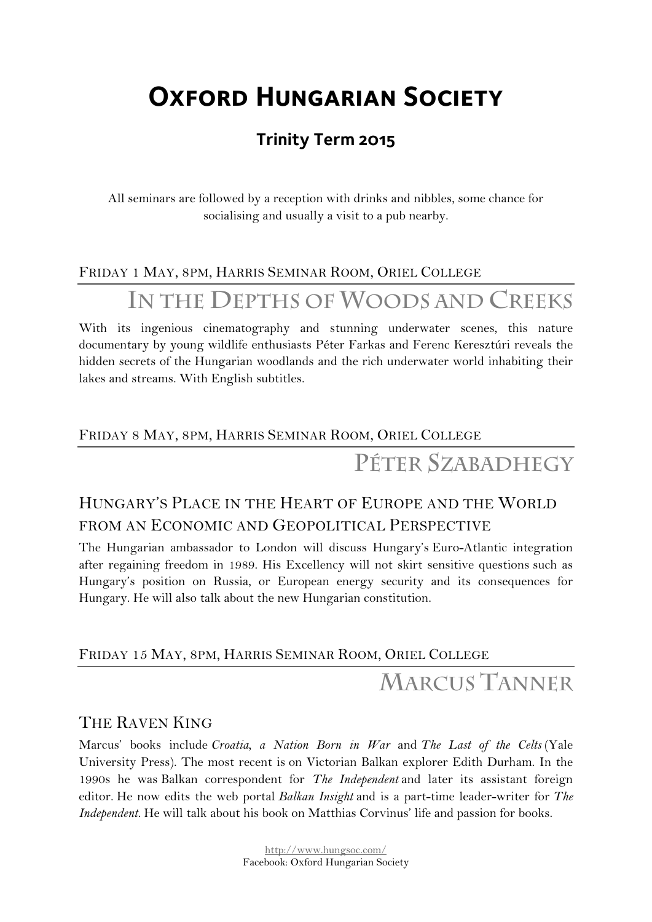# **Oxford Hungarian Society**

## **Trinity Term 2015**

All seminars are followed by a reception with drinks and nibbles, some chance for socialising and usually a visit to a pub nearby.

### FRIDAY 1 MAY, 8PM, HARRIS SEMINAR ROOM, ORIEL COLLEGE

**IN THE DEPTHS OF WOODS AND CREEKS**

With its ingenious cinematography and stunning underwater scenes, this nature documentary by young wildlife enthusiasts Péter Farkas and Ferenc Keresztúri reveals the hidden secrets of the Hungarian woodlands and the rich underwater world inhabiting their lakes and streams. With English subtitles.

### FRIDAY 8 MAY, 8PM, HARRIS SEMINAR ROOM, ORIEL COLLEGE

**PÉTER SZABADHEGY**

## HUNGARY'S PLACE IN THE HEART OF EUROPE AND THE WORLD FROM AN ECONOMIC AND GEOPOLITICAL PERSPECTIVE

The Hungarian ambassador to London will discuss Hungary's Euro-Atlantic integration after regaining freedom in 1989. His Excellency will not skirt sensitive questions such as Hungary's position on Russia, or European energy security and its consequences for Hungary. He will also talk about the new Hungarian constitution.

#### FRIDAY 15 MAY, 8PM, HARRIS SEMINAR ROOM, ORIEL COLLEGE

## **MARCUS TANNER**

### THE RAVEN KING

Marcus' books include *Croatia, a Nation Born in War* and *The Last of the Celts* (Yale University Press). The most recent is on Victorian Balkan explorer Edith Durham. In the 1990s he was Balkan correspondent for *The Independent* and later its assistant foreign editor. He now edits the web portal *Balkan Insight* and is a part-time leader-writer for *The Independent.* He will talk about his book on Matthias Corvinus' life and passion for books.

> http://www.hungsoc.com/ Facebook: Oxford Hungarian Society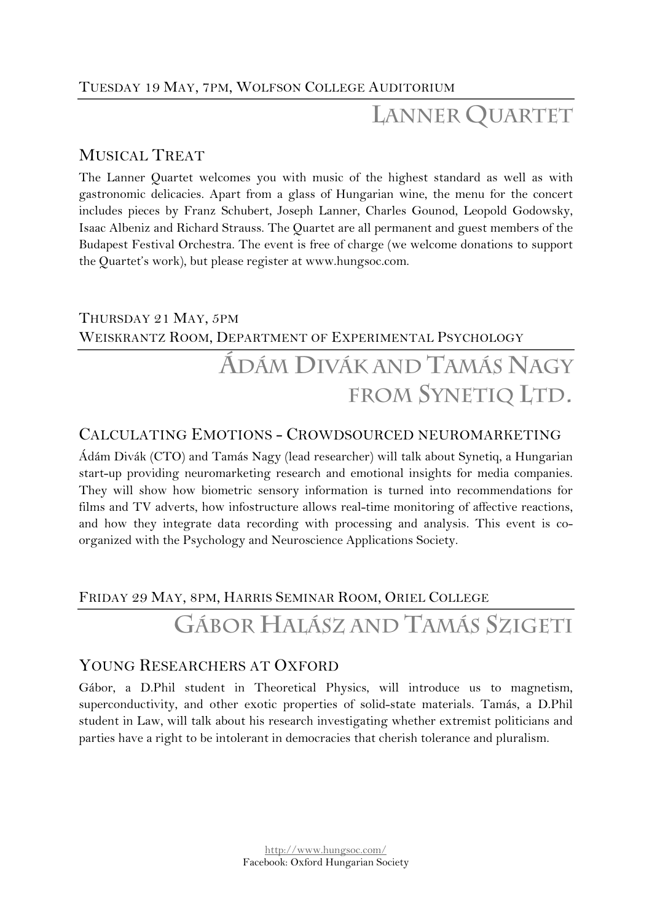### TUESDAY 19 MAY, 7PM, WOLFSON COLLEGE AUDITORIUM

## **LANNER QUARTET**

#### MUSICAL TREAT

The Lanner Quartet welcomes you with music of the highest standard as well as with gastronomic delicacies. Apart from a glass of Hungarian wine, the menu for the concert includes pieces by Franz Schubert, Joseph Lanner, Charles Gounod, Leopold Godowsky, Isaac Albeniz and Richard Strauss. The Quartet are all permanent and guest members of the Budapest Festival Orchestra. The event is free of charge (we welcome donations to support the Quartet's work), but please register at www.hungsoc.com.

### THURSDAY 21 MAY, 5PM WEISKRANTZ ROOM, DEPARTMENT OF EXPERIMENTAL PSYCHOLOGY

# **ÁDÁM DIVÁK AND TAMÁS NAGY FROM SYNETIQ LTD.**

#### CALCULATING EMOTIONS - CROWDSOURCED NEUROMARKETING

Ádám Divák (CTO) and Tamás Nagy (lead researcher) will talk about Synetiq, a Hungarian start-up providing neuromarketing research and emotional insights for media companies. They will show how biometric sensory information is turned into recommendations for films and TV adverts, how infostructure allows real-time monitoring of affective reactions, and how they integrate data recording with processing and analysis. This event is coorganized with the Psychology and Neuroscience Applications Society.

#### FRIDAY 29 MAY, 8PM, HARRIS SEMINAR ROOM, ORIEL COLLEGE

# **GÁBOR HALÁSZ AND TAMÁS SZIGETI**

#### YOUNG RESEARCHERS AT OXFORD

Gábor, a D.Phil student in Theoretical Physics, will introduce us to magnetism, superconductivity, and other exotic properties of solid-state materials. Tamás, a D.Phil student in Law, will talk about his research investigating whether extremist politicians and parties have a right to be intolerant in democracies that cherish tolerance and pluralism.